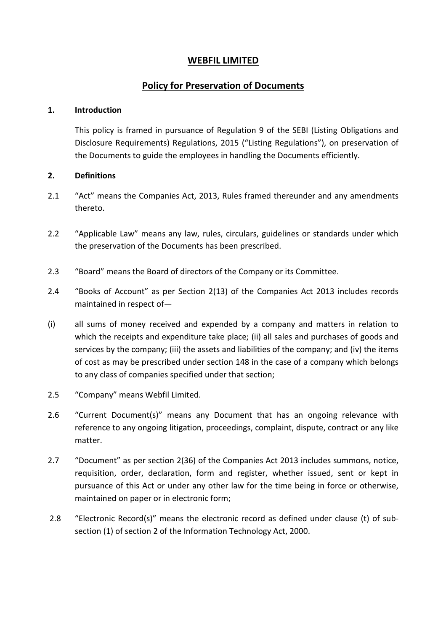## **WEBFIL LIMITED**

# **Policy for Preservation of Documents**

#### **1. Introduction**

This policy is framed in pursuance of Regulation 9 of the SEBI (Listing Obligations and Disclosure Requirements) Regulations, 2015 ("Listing Regulations"), on preservation of the Documents to guide the employees in handling the Documents efficiently.

## **2. Definitions**

- 2.1 "Act" means the Companies Act, 2013, Rules framed thereunder and any amendments thereto.
- 2.2 "Applicable Law" means any law, rules, circulars, guidelines or standards under which the preservation of the Documents has been prescribed.
- 2.3 "Board" means the Board of directors of the Company or its Committee.
- 2.4 "Books of Account" as per Section 2(13) of the Companies Act 2013 includes records maintained in respect of—
- (i) all sums of money received and expended by a company and matters in relation to which the receipts and expenditure take place; (ii) all sales and purchases of goods and services by the company; (iii) the assets and liabilities of the company; and (iv) the items of cost as may be prescribed under section 148 in the case of a company which belongs to any class of companies specified under that section;
- 2.5 "Company" means Webfil Limited.
- 2.6 "Current Document(s)" means any Document that has an ongoing relevance with reference to any ongoing litigation, proceedings, complaint, dispute, contract or any like matter.
- 2.7 "Document" as per section 2(36) of the Companies Act 2013 includes summons, notice, requisition, order, declaration, form and register, whether issued, sent or kept in pursuance of this Act or under any other law for the time being in force or otherwise, maintained on paper or in electronic form;
- 2.8 "Electronic Record(s)" means the electronic record as defined under clause (t) of subsection (1) of section 2 of the Information Technology Act, 2000.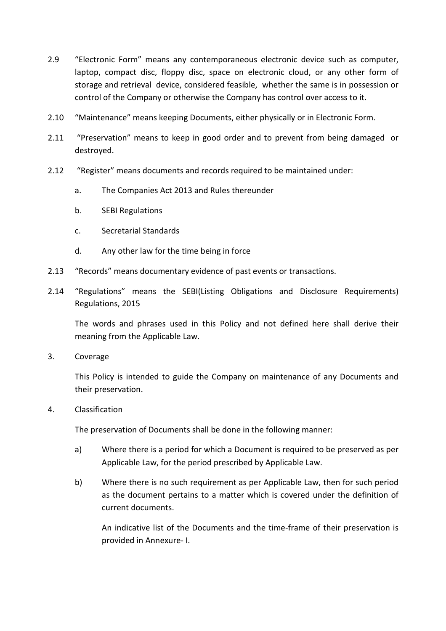- 2.9 "Electronic Form" means any contemporaneous electronic device such as computer, laptop, compact disc, floppy disc, space on electronic cloud, or any other form of storage and retrieval device, considered feasible, whether the same is in possession or control of the Company or otherwise the Company has control over access to it.
- 2.10 "Maintenance" means keeping Documents, either physically or in Electronic Form.
- 2.11 "Preservation" means to keep in good order and to prevent from being damaged or destroyed.
- 2.12 "Register" means documents and records required to be maintained under:
	- a. The Companies Act 2013 and Rules thereunder
	- b. SEBI Regulations
	- c. Secretarial Standards
	- d. Any other law for the time being in force
- 2.13 "Records" means documentary evidence of past events or transactions.
- 2.14 "Regulations" means the SEBI(Listing Obligations and Disclosure Requirements) Regulations, 2015

The words and phrases used in this Policy and not defined here shall derive their meaning from the Applicable Law.

3. Coverage

This Policy is intended to guide the Company on maintenance of any Documents and their preservation.

4. Classification

The preservation of Documents shall be done in the following manner:

- a) Where there is a period for which a Document is required to be preserved as per Applicable Law, for the period prescribed by Applicable Law.
- b) Where there is no such requirement as per Applicable Law, then for such period as the document pertains to a matter which is covered under the definition of current documents.

An indicative list of the Documents and the time-frame of their preservation is provided in Annexure- I.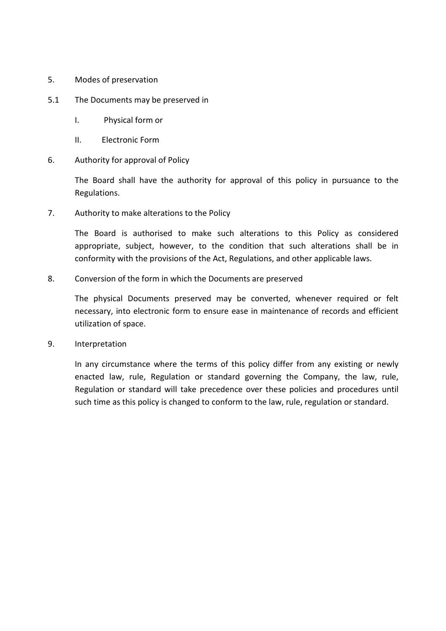5. Modes of preservation

## 5.1 The Documents may be preserved in

- I. Physical form or
- II. Electronic Form
- 6. Authority for approval of Policy

The Board shall have the authority for approval of this policy in pursuance to the Regulations.

7. Authority to make alterations to the Policy

The Board is authorised to make such alterations to this Policy as considered appropriate, subject, however, to the condition that such alterations shall be in conformity with the provisions of the Act, Regulations, and other applicable laws.

8. Conversion of the form in which the Documents are preserved

The physical Documents preserved may be converted, whenever required or felt necessary, into electronic form to ensure ease in maintenance of records and efficient utilization of space.

9. Interpretation

In any circumstance where the terms of this policy differ from any existing or newly enacted law, rule, Regulation or standard governing the Company, the law, rule, Regulation or standard will take precedence over these policies and procedures until such time as this policy is changed to conform to the law, rule, regulation or standard.